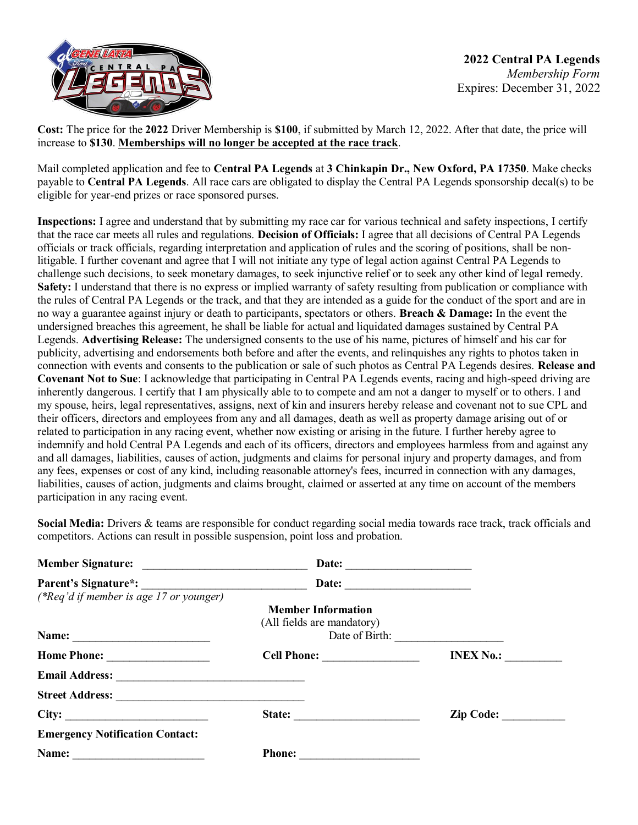

**Cost:** The price for the **2022** Driver Membership is **\$100**, if submitted by March 12, 2022. After that date, the price will increase to **\$130**. **Memberships will no longer be accepted at the race track**.

Mail completed application and fee to **Central PA Legends** at **3 Chinkapin Dr., New Oxford, PA 17350**. Make checks payable to **Central PA Legends**. All race cars are obligated to display the Central PA Legends sponsorship decal(s) to be eligible for year-end prizes or race sponsored purses.

**Inspections:** I agree and understand that by submitting my race car for various technical and safety inspections, I certify that the race car meets all rules and regulations. **Decision of Officials:** I agree that all decisions of Central PA Legends officials or track officials, regarding interpretation and application of rules and the scoring of positions, shall be nonlitigable. I further covenant and agree that I will not initiate any type of legal action against Central PA Legends to challenge such decisions, to seek monetary damages, to seek injunctive relief or to seek any other kind of legal remedy. **Safety:** I understand that there is no express or implied warranty of safety resulting from publication or compliance with the rules of Central PA Legends or the track, and that they are intended as a guide for the conduct of the sport and are in no way a guarantee against injury or death to participants, spectators or others. **Breach & Damage:** In the event the undersigned breaches this agreement, he shall be liable for actual and liquidated damages sustained by Central PA Legends. **Advertising Release:** The undersigned consents to the use of his name, pictures of himself and his car for publicity, advertising and endorsements both before and after the events, and relinquishes any rights to photos taken in connection with events and consents to the publication or sale of such photos as Central PA Legends desires. **Release and Covenant Not to Sue**: I acknowledge that participating in Central PA Legends events, racing and high-speed driving are inherently dangerous. I certify that I am physically able to to compete and am not a danger to myself or to others. I and my spouse, heirs, legal representatives, assigns, next of kin and insurers hereby release and covenant not to sue CPL and their officers, directors and employees from any and all damages, death as well as property damage arising out of or related to participation in any racing event, whether now existing or arising in the future. I further hereby agree to indemnify and hold Central PA Legends and each of its officers, directors and employees harmless from and against any and all damages, liabilities, causes of action, judgments and claims for personal injury and property damages, and from any fees, expenses or cost of any kind, including reasonable attorney's fees, incurred in connection with any damages, liabilities, causes of action, judgments and claims brought, claimed or asserted at any time on account of the members participation in any racing event.

**Social Media:** Drivers & teams are responsible for conduct regarding social media towards race track, track officials and competitors. Actions can result in possible suspension, point loss and probation.

|                                                                                                                               | Date:                      |                  |
|-------------------------------------------------------------------------------------------------------------------------------|----------------------------|------------------|
|                                                                                                                               |                            |                  |
| (*Req'd if member is age 17 or younger)                                                                                       |                            |                  |
|                                                                                                                               | <b>Member Information</b>  |                  |
|                                                                                                                               | (All fields are mandatory) |                  |
| Name:<br><u> 1980 - Jan Stein Stein Stein Stein Stein Stein Stein Stein Stein Stein Stein Stein Stein Stein Stein Stein S</u> | Date of Birth:             |                  |
| Home Phone:                                                                                                                   |                            | <b>INEX No.:</b> |
|                                                                                                                               |                            |                  |
|                                                                                                                               |                            |                  |
|                                                                                                                               | State:                     | Zip Code:        |
| <b>Emergency Notification Contact:</b>                                                                                        |                            |                  |
| Name:                                                                                                                         | <b>Phone:</b>              |                  |